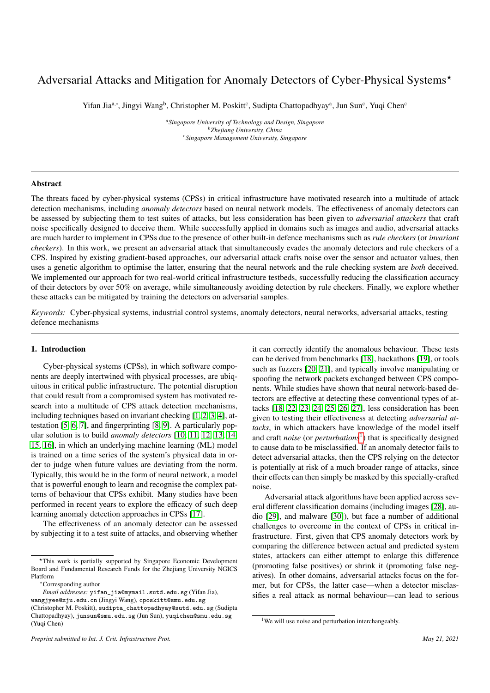# Adversarial Attacks and Mitigation for Anomaly Detectors of Cyber-Physical Systems<sup>\*</sup>

Yifan Jia<sup>a,∗</sup>, Jingyi Wang<sup>b</sup>, Christopher M. Poskitt<sup>c</sup>, Sudipta Chattopadhyay<sup>a</sup>, Jun Sun<sup>c</sup>, Yuqi Chen<sup>c</sup>

*<sup>a</sup>Singapore University of Technology and Design, Singapore <sup>b</sup>Zhejiang University, China <sup>c</sup>Singapore Management University, Singapore*

# Abstract

The threats faced by cyber-physical systems (CPSs) in critical infrastructure have motivated research into a multitude of attack detection mechanisms, including *anomaly detectors* based on neural network models. The effectiveness of anomaly detectors can be assessed by subjecting them to test suites of attacks, but less consideration has been given to *adversarial attackers* that craft noise specifically designed to deceive them. While successfully applied in domains such as images and audio, adversarial attacks are much harder to implement in CPSs due to the presence of other built-in defence mechanisms such as *rule checkers* (or *invariant checkers*). In this work, we present an adversarial attack that simultaneously evades the anomaly detectors and rule checkers of a CPS. Inspired by existing gradient-based approaches, our adversarial attack crafts noise over the sensor and actuator values, then uses a genetic algorithm to optimise the latter, ensuring that the neural network and the rule checking system are *both* deceived. We implemented our approach for two real-world critical infrastructure testbeds, successfully reducing the classification accuracy of their detectors by over 50% on average, while simultaneously avoiding detection by rule checkers. Finally, we explore whether these attacks can be mitigated by training the detectors on adversarial samples.

*Keywords:* Cyber-physical systems, industrial control systems, anomaly detectors, neural networks, adversarial attacks, testing defence mechanisms

# 1. Introduction

Cyber-physical systems (CPSs), in which software components are deeply intertwined with physical processes, are ubiquitous in critical public infrastructure. The potential disruption that could result from a compromised system has motivated research into a multitude of CPS attack detection mechanisms, including techniques based on invariant checking [\[1,](#page-11-0) [2,](#page-11-1) [3,](#page-11-2) [4\]](#page-11-3), attestation [\[5,](#page-11-4) [6,](#page-11-5) [7\]](#page-11-6), and fingerprinting [\[8,](#page-11-7) [9\]](#page-11-8). A particularly popular solution is to build *anomaly detectors* [\[10,](#page-11-9) [11,](#page-11-10) [12,](#page-11-11) [13,](#page-11-12) [14,](#page-11-13) [15,](#page-11-14) [16\]](#page-11-15), in which an underlying machine learning (ML) model is trained on a time series of the system's physical data in order to judge when future values are deviating from the norm. Typically, this would be in the form of neural network, a model that is powerful enough to learn and recognise the complex patterns of behaviour that CPSs exhibit. Many studies have been performed in recent years to explore the efficacy of such deep learning anomaly detection approaches in CPSs [\[17\]](#page-11-16).

The effectiveness of an anomaly detector can be assessed by subjecting it to a test suite of attacks, and observing whether

*Preprint submitted to Int. J. Crit. Infrastructure Prot. May 21, 2021*

it can correctly identify the anomalous behaviour. These tests can be derived from benchmarks [\[18\]](#page-11-17), hackathons [\[19\]](#page-11-18), or tools such as fuzzers [\[20,](#page-11-19) [21\]](#page-11-20), and typically involve manipulating or spoofing the network packets exchanged between CPS components. While studies have shown that neural network-based detectors are effective at detecting these conventional types of attacks [\[18,](#page-11-17) [22,](#page-11-21) [23,](#page-11-22) [24,](#page-11-23) [25,](#page-11-24) [26,](#page-11-25) [27\]](#page-11-26), less consideration has been given to testing their effectiveness at detecting *adversarial attacks*, in which attackers have knowledge of the model itself and craft *noise* (or *perturbations<sup>[1](#page-0-0)</sup>*) that is specifically designed to cause data to be misclassified. If an anomaly detector fails to detect adversarial attacks, then the CPS relying on the detector is potentially at risk of a much broader range of attacks, since their effects can then simply be masked by this specially-crafted noise.

Adversarial attack algorithms have been applied across several different classification domains (including images [\[28\]](#page-11-27), audio [\[29\]](#page-11-28), and malware [\[30\]](#page-11-29)), but face a number of additional challenges to overcome in the context of CPSs in critical infrastructure. First, given that CPS anomaly detectors work by comparing the difference between actual and predicted system states, attackers can either attempt to enlarge this difference (promoting false positives) or shrink it (promoting false negatives). In other domains, adversarial attacks focus on the former, but for CPSs, the latter case—when a detector misclassifies a real attack as normal behaviour—can lead to serious

<sup>?</sup>This work is partially supported by Singapore Economic Development Board and Fundamental Research Funds for the Zhejiang University NGICS Platform

<sup>∗</sup>Corresponding author

*Email addresses:* yifan\_jia@mymail.sutd.edu.sg (Yifan Jia), wangjyee@zju.edu.cn (Jingyi Wang), cposkitt@smu.edu.sg

<sup>(</sup>Christopher M. Poskitt), sudipta\_chattopadhyay@sutd.edu.sg (Sudipta Chattopadhyay), junsun@smu.edu.sg (Jun Sun), yuqichen@smu.edu.sg (Yuqi Chen)

<span id="page-0-0"></span><sup>&</sup>lt;sup>1</sup>We will use noise and perturbation interchangeably.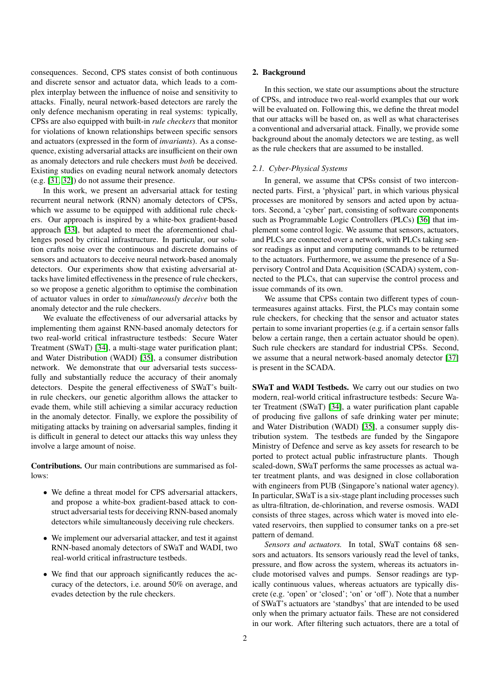consequences. Second, CPS states consist of both continuous and discrete sensor and actuator data, which leads to a complex interplay between the influence of noise and sensitivity to attacks. Finally, neural network-based detectors are rarely the only defence mechanism operating in real systems: typically, CPSs are also equipped with built-in *rule checkers* that monitor for violations of known relationships between specific sensors and actuators (expressed in the form of *invariants*). As a consequence, existing adversarial attacks are insufficient on their own as anomaly detectors and rule checkers must *both* be deceived. Existing studies on evading neural network anomaly detectors (e.g. [\[31,](#page-11-30) [32\]](#page-11-31)) do not assume their presence.

In this work, we present an adversarial attack for testing recurrent neural network (RNN) anomaly detectors of CPSs, which we assume to be equipped with additional rule checkers. Our approach is inspired by a white-box gradient-based approach [\[33\]](#page-12-0), but adapted to meet the aforementioned challenges posed by critical infrastructure. In particular, our solution crafts noise over the continuous and discrete domains of sensors and actuators to deceive neural network-based anomaly detectors. Our experiments show that existing adversarial attacks have limited effectiveness in the presence of rule checkers, so we propose a genetic algorithm to optimise the combination of actuator values in order to *simultaneously deceive* both the anomaly detector and the rule checkers.

We evaluate the effectiveness of our adversarial attacks by implementing them against RNN-based anomaly detectors for two real-world critical infrastructure testbeds: Secure Water Treatment (SWaT) [\[34\]](#page-12-1), a multi-stage water purification plant; and Water Distribution (WADI) [\[35\]](#page-12-2), a consumer distribution network. We demonstrate that our adversarial tests successfully and substantially reduce the accuracy of their anomaly detectors. Despite the general effectiveness of SWaT's builtin rule checkers, our genetic algorithm allows the attacker to evade them, while still achieving a similar accuracy reduction in the anomaly detector. Finally, we explore the possibility of mitigating attacks by training on adversarial samples, finding it is difficult in general to detect our attacks this way unless they involve a large amount of noise.

Contributions. Our main contributions are summarised as follows:

- We define a threat model for CPS adversarial attackers, and propose a white-box gradient-based attack to construct adversarial tests for deceiving RNN-based anomaly detectors while simultaneously deceiving rule checkers.
- We implement our adversarial attacker, and test it against RNN-based anomaly detectors of SWaT and WADI, two real-world critical infrastructure testbeds.
- We find that our approach significantly reduces the accuracy of the detectors, i.e. around 50% on average, and evades detection by the rule checkers.

### 2. Background

In this section, we state our assumptions about the structure of CPSs, and introduce two real-world examples that our work will be evaluated on. Following this, we define the threat model that our attacks will be based on, as well as what characterises a conventional and adversarial attack. Finally, we provide some background about the anomaly detectors we are testing, as well as the rule checkers that are assumed to be installed.

# *2.1. Cyber-Physical Systems*

In general, we assume that CPSs consist of two interconnected parts. First, a 'physical' part, in which various physical processes are monitored by sensors and acted upon by actuators. Second, a 'cyber' part, consisting of software components such as Programmable Logic Controllers (PLCs) [\[36\]](#page-12-3) that implement some control logic. We assume that sensors, actuators, and PLCs are connected over a network, with PLCs taking sensor readings as input and computing commands to be returned to the actuators. Furthermore, we assume the presence of a Supervisory Control and Data Acquisition (SCADA) system, connected to the PLCs, that can supervise the control process and issue commands of its own.

We assume that CPSs contain two different types of countermeasures against attacks. First, the PLCs may contain some rule checkers, for checking that the sensor and actuator states pertain to some invariant properties (e.g. if a certain sensor falls below a certain range, then a certain actuator should be open). Such rule checkers are standard for industrial CPSs. Second, we assume that a neural network-based anomaly detector [\[37\]](#page-12-4) is present in the SCADA.

SWaT and WADI Testbeds. We carry out our studies on two modern, real-world critical infrastructure testbeds: Secure Water Treatment (SWaT) [\[34\]](#page-12-1), a water purification plant capable of producing five gallons of safe drinking water per minute; and Water Distribution (WADI) [\[35\]](#page-12-2), a consumer supply distribution system. The testbeds are funded by the Singapore Ministry of Defence and serve as key assets for research to be ported to protect actual public infrastructure plants. Though scaled-down, SWaT performs the same processes as actual water treatment plants, and was designed in close collaboration with engineers from PUB (Singapore's national water agency). In particular, SWaT is a six-stage plant including processes such as ultra-filtration, de-chlorination, and reverse osmosis. WADI consists of three stages, across which water is moved into elevated reservoirs, then supplied to consumer tanks on a pre-set pattern of demand.

*Sensors and actuators.* In total, SWaT contains 68 sensors and actuators. Its sensors variously read the level of tanks, pressure, and flow across the system, whereas its actuators include motorised valves and pumps. Sensor readings are typically continuous values, whereas actuators are typically discrete (e.g. 'open' or 'closed'; 'on' or 'off'). Note that a number of SWaT's actuators are 'standbys' that are intended to be used only when the primary actuator fails. These are not considered in our work. After filtering such actuators, there are a total of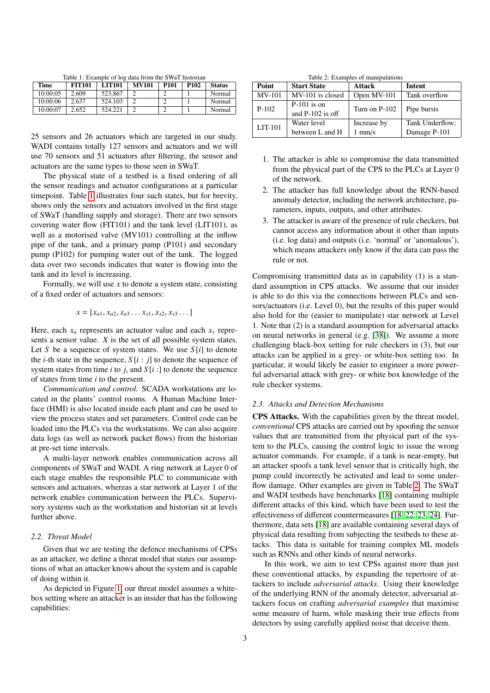<span id="page-2-0"></span>Table 1: Example of log data from the SWaT historian

| Time     | <b>FIT101</b> | <b>LIT101</b> | <b>MV101</b> | <b>P101</b> | P <sub>102</sub> | <b>Status</b> |
|----------|---------------|---------------|--------------|-------------|------------------|---------------|
| 10:00:05 | 2.609         | 523.867       |              |             |                  | Normal        |
| 10:00:06 | 2.637         | 524.103       |              |             |                  | Normal        |
| 10:00:07 | 2.652         | 524.221       |              |             |                  | Normal        |

25 sensors and 26 actuators which are targeted in our study. WADI contains totally 127 sensors and actuators and we will use 70 sensors and 51 actuators after filtering, the sensor and actuators are the same types to those seen in SWaT.

The physical state of a testbed is a fixed ordering of all the sensor readings and actuator configurations at a particular timepoint. Table [1](#page-2-0) illustrates four such states, but for brevity, shows only the sensors and actuators involved in the first stage of SWaT (handling supply and storage). There are two sensors covering water flow (FIT101) and the tank level (LIT101), as well as a motorised valve (MV101) controlling at the inflow pipe of the tank, and a primary pump (P101) and secondary pump (P102) for pumping water out of the tank. The logged data over two seconds indicates that water is flowing into the tank and its level is increasing.

Formally, we will use *x* to denote a system state, consisting of a fixed order of actuators and sensors:

$$
x = [x_{a1}, x_{a2}, x_{a3} \dots x_{s1}, x_{s2}, x_{s3} \dots]
$$

Here, each  $x_a$  represents an actuator value and each  $x_s$  represents a sensor value. *X* is the set of all possible system states. Let *S* be a sequence of system states. We use  $S[i]$  to denote the *i*-th state in the sequence,  $S[i : j]$  to denote the sequence of system states from time *i* to *j*, and  $S[i:]$  to denote the sequence of states from time *i* to the present.

*Communication and control.* SCADA workstations are located in the plants' control rooms. A Human Machine Interface (HMI) is also located inside each plant and can be used to view the process states and set parameters. Control code can be loaded into the PLCs via the workstations. We can also acquire data logs (as well as network packet flows) from the historian at pre-set time intervals.

A multi-layer network enables communication across all components of SWaT and WADI. A ring network at Layer 0 of each stage enables the responsible PLC to communicate with sensors and actuators, whereas a star network at Layer 1 of the network enables communication between the PLCs. Supervisory systems such as the workstation and historian sit at levels further above.

# <span id="page-2-2"></span>*2.2. Threat Model*

Given that we are testing the defence mechanisms of CPSs as an attacker, we define a threat model that states our assumptions of what an attacker knows about the system and is capable of doing within it.

As depicted in Figure [1,](#page-3-0) our threat model assumes a whitebox setting where an attacker is an insider that has the following capabilities:

<span id="page-2-1"></span>Table 2: Examples of manipulations

| $\sim$        |                                     |               |                 |  |  |  |  |
|---------------|-------------------------------------|---------------|-----------------|--|--|--|--|
| Point         | <b>Start State</b>                  | <b>Attack</b> | Intent          |  |  |  |  |
| <b>MV-101</b> | MV-101 is closed                    | Open MV-101   | Tank overflow   |  |  |  |  |
| $P-102$       | $P-101$ is on<br>and $P-102$ is off | Turn on P-102 | Pipe bursts     |  |  |  |  |
|               |                                     |               |                 |  |  |  |  |
| $LT-101$      | Water level                         | Increase by   | Tank Underflow: |  |  |  |  |
|               | between L and H                     | $1$ mm/s      | Damage P-101    |  |  |  |  |

- 1. The attacker is able to compromise the data transmitted from the physical part of the CPS to the PLCs at Layer 0 of the network.
- 2. The attacker has full knowledge about the RNN-based anomaly detector, including the network architecture, parameters, inputs, outputs, and other attributes.
- 3. The attacker is aware of the presence of rule checkers, but cannot access any information about it other than inputs (i.e. log data) and outputs (i.e. 'normal' or 'anomalous'), which means attackers only know if the data can pass the rule or not.

Compromising transmitted data as in capability (1) is a standard assumption in CPS attacks. We assume that our insider is able to do this via the connections between PLCs and sensors/actuators (i.e. Level 0), but the results of this paper would also hold for the (easier to manipulate) star network at Level 1. Note that (2) is a standard assumption for adversarial attacks on neural networks in general (e.g. [\[38\]](#page-12-5)). We assume a more challenging black-box setting for rule checkers in (3), but our attacks can be applied in a grey- or white-box setting too. In particular, it would likely be easier to engineer a more powerful adversarial attack with grey- or white box knowledge of the rule checker systems.

# <span id="page-2-3"></span>*2.3. Attacks and Detection Mechanisms*

CPS Attacks. With the capabilities given by the threat model, *conventional* CPS attacks are carried out by spoofing the sensor values that are transmitted from the physical part of the system to the PLCs, causing the control logic to issue the wrong actuator commands. For example, if a tank is near-empty, but an attacker spoofs a tank level sensor that is critically high, the pump could incorrectly be activated and lead to some underflow damage. Other examples are given in Table [2.](#page-2-1) The SWaT and WADI testbeds have benchmarks [\[18\]](#page-11-17) containing multiple different attacks of this kind, which have been used to test the effectiveness of different countermeasures [\[18,](#page-11-17) [22,](#page-11-21) [23,](#page-11-22) [24\]](#page-11-23). Furthermore, data sets [\[18\]](#page-11-17) are available containing several days of physical data resulting from subjecting the testbeds to these attacks. This data is suitable for training complex ML models such as RNNs and other kinds of neural networks.

In this work, we aim to test CPSs against more than just these conventional attacks, by expanding the repertoire of attackers to include *adversarial attacks*. Using their knowledge of the underlying RNN of the anomaly detector, adversarial attackers focus on crafting *adversarial examples* that maximise some measure of harm, while masking their true effects from detectors by using carefully applied noise that deceive them.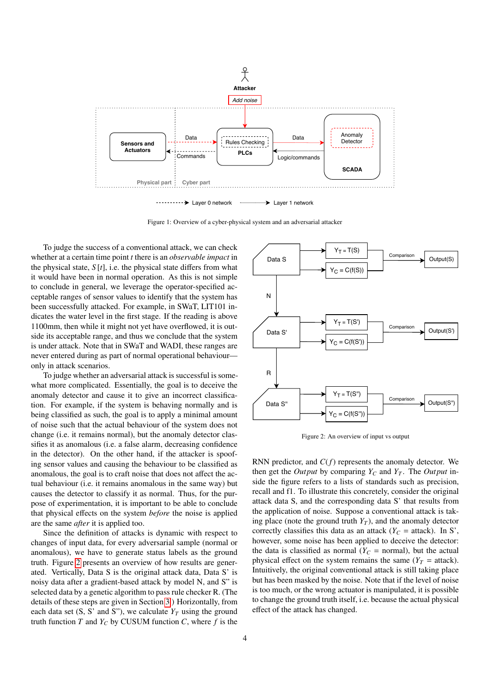

<span id="page-3-0"></span>Figure 1: Overview of a cyber-physical system and an adversarial attacker

To judge the success of a conventional attack, we can check whether at a certain time point *t* there is an *observable impact* in the physical state,  $S[t]$ , i.e. the physical state differs from what it would have been in normal operation. As this is not simple to conclude in general, we leverage the operator-specified acceptable ranges of sensor values to identify that the system has been successfully attacked. For example, in SWaT, LIT101 indicates the water level in the first stage. If the reading is above 1100mm, then while it might not yet have overflowed, it is outside its acceptable range, and thus we conclude that the system is under attack. Note that in SWaT and WADI, these ranges are never entered during as part of normal operational behaviour only in attack scenarios.

To judge whether an adversarial attack is successful is somewhat more complicated. Essentially, the goal is to deceive the anomaly detector and cause it to give an incorrect classification. For example, if the system is behaving normally and is being classified as such, the goal is to apply a minimal amount of noise such that the actual behaviour of the system does not change (i.e. it remains normal), but the anomaly detector classifies it as anomalous (i.e. a false alarm, decreasing confidence in the detector). On the other hand, if the attacker is spoofing sensor values and causing the behaviour to be classified as anomalous, the goal is to craft noise that does not affect the actual behaviour (i.e. it remains anomalous in the same way) but causes the detector to classify it as normal. Thus, for the purpose of experimentation, it is important to be able to conclude that physical effects on the system *before* the noise is applied are the same *after* it is applied too.

Since the definition of attacks is dynamic with respect to changes of input data, for every adversarial sample (normal or anomalous), we have to generate status labels as the ground truth. Figure [2](#page-3-1) presents an overview of how results are generated. Vertically, Data S is the original attack data, Data S' is noisy data after a gradient-based attack by model N, and S" is selected data by a genetic algorithm to pass rule checker R. (The details of these steps are given in Section [3.](#page-4-0)) Horizontally, from each data set  $(S, S'$  and  $S''$ ), we calculate  $Y_T$  using the ground truth function *T* and  $Y_C$  by CUSUM function *C*, where *f* is the



<span id="page-3-1"></span>Figure 2: An overview of input vs output

RNN predictor, and *C*(*f*) represents the anomaly detector. We then get the *Output* by comparing  $Y_C$  and  $Y_T$ . The *Output* inside the figure refers to a lists of standards such as precision, recall and f1. To illustrate this concretely, consider the original attack data S, and the corresponding data S' that results from the application of noise. Suppose a conventional attack is taking place (note the ground truth  $Y_T$ ), and the anomaly detector correctly classifies this data as an attack ( $Y_C$  = attack). In S', however, some noise has been applied to deceive the detector: the data is classified as normal  $(Y_C = \text{normal})$ , but the actual physical effect on the system remains the same ( $Y_T$  = attack). Intuitively, the original conventional attack is still taking place but has been masked by the noise. Note that if the level of noise is too much, or the wrong actuator is manipulated, it is possible to change the ground truth itself, i.e. because the actual physical effect of the attack has changed.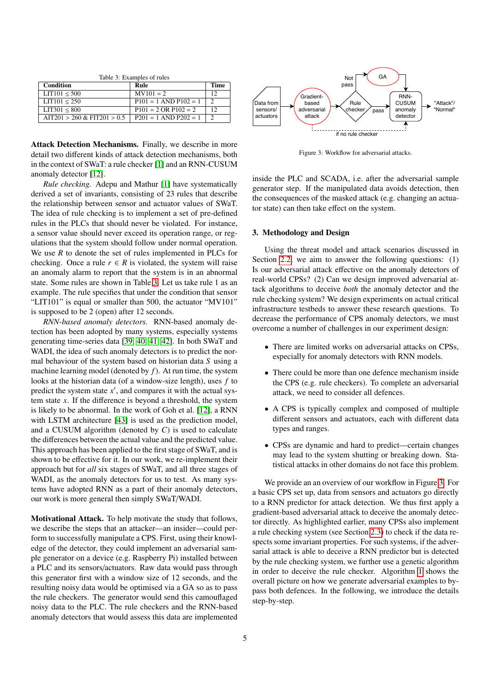<span id="page-4-1"></span>Table 3: Examples of rules

| Condition                      | Rule                            | Time |
|--------------------------------|---------------------------------|------|
| LT101 < 500                    | $MV101 = 2$                     | 12   |
| LTT101 < 250                   | $P101 = 1$ AND $P102 = 1$       |      |
| LT301 < 800                    | $P101 = 2 \text{ OR } P102 = 2$ | 12   |
| $AIT201 > 260 \& FIT201 > 0.5$ | $P201 = 1$ AND $P202 = 1$       |      |
|                                |                                 |      |

Attack Detection Mechanisms. Finally, we describe in more detail two different kinds of attack detection mechanisms, both in the context of SWaT: a rule checker [\[1\]](#page-11-0) and an RNN-CUSUM anomaly detector [\[12\]](#page-11-11).

*Rule checking.* Adepu and Mathur [\[1\]](#page-11-0) have systematically derived a set of invariants, consisting of 23 rules that describe the relationship between sensor and actuator values of SWaT. The idea of rule checking is to implement a set of pre-defined rules in the PLCs that should never be violated. For instance, a sensor value should never exceed its operation range, or regulations that the system should follow under normal operation. We use *R* to denote the set of rules implemented in PLCs for checking. Once a rule  $r \in R$  is violated, the system will raise an anomaly alarm to report that the system is in an abnormal state. Some rules are shown in Table [3.](#page-4-1) Let us take rule 1 as an example. The rule specifies that under the condition that sensor "LIT101" is equal or smaller than 500, the actuator "MV101" is supposed to be 2 (open) after 12 seconds.

*RNN-based anomaly detectors.* RNN-based anomaly detection has been adopted by many systems, especially systems generating time-series data [\[39,](#page-12-6) [40,](#page-12-7) [41,](#page-12-8) [42\]](#page-12-9). In both SWaT and WADI, the idea of such anomaly detectors is to predict the normal behaviour of the system based on historian data *S* using a machine learning model (denoted by *f*). At run time, the system looks at the historian data (of a window-size length), uses *f* to predict the system state  $x'$ , and compares it with the actual system state *x*. If the difference is beyond a threshold, the system is likely to be abnormal. In the work of Goh et al. [\[12\]](#page-11-11), a RNN with LSTM architecture [\[43\]](#page-12-10) is used as the prediction model, and a CUSUM algorithm (denoted by *C*) is used to calculate the differences between the actual value and the predicted value. This approach has been applied to the first stage of SWaT, and is shown to be effective for it. In our work, we re-implement their approach but for *all* six stages of SWaT, and all three stages of WADI, as the anomaly detectors for us to test. As many systems have adopted RNN as a part of their anomaly detectors, our work is more general then simply SWaT/WADI.

Motivational Attack. To help motivate the study that follows, we describe the steps that an attacker—an insider—could perform to successfully manipulate a CPS. First, using their knowledge of the detector, they could implement an adversarial sample generator on a device (e.g. Raspberry Pi) installed between a PLC and its sensors/actuators. Raw data would pass through this generator first with a window size of 12 seconds, and the resulting noisy data would be optimised via a GA so as to pass the rule checkers. The generator would send this camouflaged noisy data to the PLC. The rule checkers and the RNN-based anomaly detectors that would assess this data are implemented



<span id="page-4-2"></span>Figure 3: Workflow for adversarial attacks.

inside the PLC and SCADA, i.e. after the adversarial sample generator step. If the manipulated data avoids detection, then the consequences of the masked attack (e.g. changing an actuator state) can then take effect on the system.

# <span id="page-4-0"></span>3. Methodology and Design

Using the threat model and attack scenarios discussed in Section [2.2,](#page-2-2) we aim to answer the following questions: (1) Is our adversarial attack effective on the anomaly detectors of real-world CPSs? (2) Can we design improved adversarial attack algorithms to deceive *both* the anomaly detector and the rule checking system? We design experiments on actual critical infrastructure testbeds to answer these research questions. To decrease the performance of CPS anomaly detectors, we must overcome a number of challenges in our experiment design:

- There are limited works on adversarial attacks on CPSs, especially for anomaly detectors with RNN models.
- There could be more than one defence mechanism inside the CPS (e.g. rule checkers). To complete an adversarial attack, we need to consider all defences.
- A CPS is typically complex and composed of multiple different sensors and actuators, each with different data types and ranges.
- CPSs are dynamic and hard to predict—certain changes may lead to the system shutting or breaking down. Statistical attacks in other domains do not face this problem.

We provide an an overview of our workflow in Figure [3.](#page-4-2) For a basic CPS set up, data from sensors and actuators go directly to a RNN predictor for attack detection. We thus first apply a gradient-based adversarial attack to deceive the anomaly detector directly. As highlighted earlier, many CPSs also implement a rule checking system (see Section [2.3\)](#page-2-3) to check if the data respects some invariant properties. For such systems, if the adversarial attack is able to deceive a RNN predictor but is detected by the rule checking system, we further use a genetic algorithm in order to deceive the rule checker. Algorithm [1](#page-5-0) shows the overall picture on how we generate adversarial examples to bypass both defences. In the following, we introduce the details step-by-step.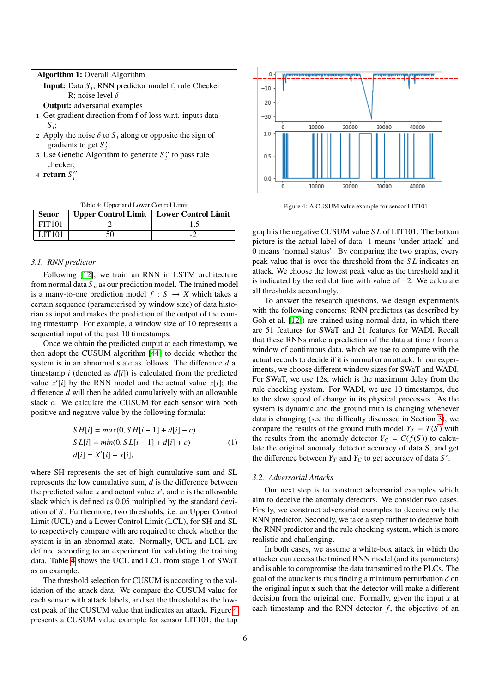Input: Data *S <sup>i</sup>* ; RNN predictor model f; rule Checker R; noise level  $\delta$ 

Output: adversarial examples

- 1 Get gradient direction from f of loss w.r.t. inputs data *S i* ;
- 2 Apply the noise  $\delta$  to  $S_i$  along or opposite the sign of gradients to get  $S_i$ ;
- 3 Use Genetic Algorithm to generate  $S_i''$  to pass rule checker;
- 4 return  $S_i''$

<span id="page-5-1"></span><span id="page-5-0"></span>Table 4: Upper and Lower Control Limit

| Senor         | Upper Control Limit   Lower Control Limit |               |
|---------------|-------------------------------------------|---------------|
| <b>FIT101</b> |                                           | $-1$ $\Delta$ |
| <b>LIT101</b> |                                           |               |

## *3.1. RNN predictor*

Following [\[12\]](#page-11-11), we train an RNN in LSTM architecture from normal data  $S_n$  as our prediction model. The trained model is a many-to-one prediction model  $f : S \rightarrow X$  which takes a certain sequence (parameterised by window size) of data historian as input and makes the prediction of the output of the coming timestamp. For example, a window size of 10 represents a sequential input of the past 10 timestamps.

Once we obtain the predicted output at each timestamp, we then adopt the CUSUM algorithm [\[44\]](#page-12-11) to decide whether the system is in an abnormal state as follows. The difference *d* at timestamp  $i$  (denoted as  $d[i]$ ) is calculated from the predicted value  $x'[i]$  by the RNN model and the actual value  $x[i]$ ; the difference *d* will then be added cumulatively with an allowable slack *c*. We calculate the CUSUM for each sensor with both positive and negative value by the following formula:

$$
SH[i] = max(0, SH[i-1] + d[i] - c)
$$
  
\n
$$
SL[i] = min(0, SL[i-1] + d[i] + c)
$$
  
\n
$$
d[i] = X'[i] - x[i],
$$
\n(1)

where SH represents the set of high cumulative sum and SL represents the low cumulative sum, *d* is the difference between the predicted value  $x$  and actual value  $x'$ , and  $c$  is the allowable slack which is defined as 0.05 multiplied by the standard deviation of *S* . Furthermore, two thresholds, i.e. an Upper Control Limit (UCL) and a Lower Control Limit (LCL), for SH and SL to respectively compare with are required to check whether the system is in an abnormal state. Normally, UCL and LCL are defined according to an experiment for validating the training data. Table [4](#page-5-1) shows the UCL and LCL from stage 1 of SWaT as an example.

The threshold selection for CUSUM is according to the validation of the attack data. We compare the CUSUM value for each sensor with attack labels, and set the threshold as the lowest peak of the CUSUM value that indicates an attack. Figure [4](#page-5-2) presents a CUSUM value example for sensor LIT101, the top



<span id="page-5-2"></span>Figure 4: A CUSUM value example for sensor LIT101

graph is the negative CUSUM value *S L* of LIT101. The bottom picture is the actual label of data: 1 means 'under attack' and 0 means 'normal status'. By comparing the two graphs, every peak value that is over the threshold from the *S L* indicates an attack. We choose the lowest peak value as the threshold and it is indicated by the red dot line with value of −2. We calculate all thresholds accordingly.

To answer the research questions, we design experiments with the following concerns: RNN predictors (as described by Goh et al. [\[12\]](#page-11-11)) are trained using normal data, in which there are 51 features for SWaT and 21 features for WADI. Recall that these RNNs make a prediction of the data at time *t* from a window of continuous data, which we use to compare with the actual records to decide if it is normal or an attack. In our experiments, we choose different window sizes for SWaT and WADI. For SWaT, we use 12s, which is the maximum delay from the rule checking system. For WADI, we use 10 timestamps, due to the slow speed of change in its physical processes. As the system is dynamic and the ground truth is changing whenever data is changing (see the difficulty discussed in Section [3\)](#page-4-0), we compare the results of the ground truth model  $Y_T = T(S)$  with the results from the anomaly detector  $Y_C = C(f(S))$  to calculate the original anomaly detector accuracy of data S, and get the difference between  $Y_T$  and  $Y_C$  to get accuracy of data  $S'$ .

#### *3.2. Adversarial Attacks*

Our next step is to construct adversarial examples which aim to deceive the anomaly detectors. We consider two cases. Firstly, we construct adversarial examples to deceive only the RNN predictor. Secondly, we take a step further to deceive both the RNN predictor and the rule checking system, which is more realistic and challenging.

In both cases, we assume a white-box attack in which the attacker can access the trained RNN model (and its parameters) and is able to compromise the data transmitted to the PLCs. The goal of the attacker is thus finding a minimum perturbation  $\delta$  on the original input x such that the detector will make a different decision from the original one. Formally, given the input *x* at each timestamp and the RNN detector *f*, the objective of an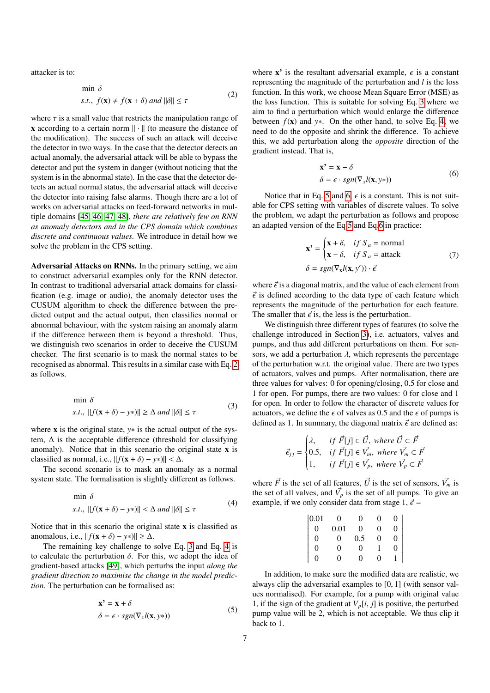<span id="page-6-0"></span>attacker is to:

$$
\min \delta
$$
  
s.t.,  $f(\mathbf{x}) \neq f(\mathbf{x} + \delta)$  and  $\|\delta\| \leq \tau$  (2)

where  $\tau$  is a small value that restricts the manipulation range of **x** according to a certain norm  $\|\cdot\|$  (to measure the distance of the modification). The success of such an attack will deceive the detector in two ways. In the case that the detector detects an actual anomaly, the adversarial attack will be able to bypass the detector and put the system in danger (without noticing that the system is in the abnormal state). In the case that the detector detects an actual normal status, the adversarial attack will deceive the detector into raising false alarms. Though there are a lot of works on adversarial attacks on feed-forward networks in multiple domains [\[45,](#page-12-12) [46,](#page-12-13) [47,](#page-12-14) [48\]](#page-12-15), *there are relatively few on RNN as anomaly detectors and in the CPS domain which combines discrete and continuous values.* We introduce in detail how we solve the problem in the CPS setting.

Adversarial Attacks on RNNs. In the primary setting, we aim to construct adversarial examples only for the RNN detector. In contrast to traditional adversarial attack domains for classification (e.g. image or audio), the anomaly detector uses the CUSUM algorithm to check the difference between the predicted output and the actual output, then classifies normal or abnormal behaviour, with the system raising an anomaly alarm if the difference between them is beyond a threshold. Thus, we distinguish two scenarios in order to deceive the CUSUM checker. The first scenario is to mask the normal states to be recognised as abnormal. This results in a similar case with Eq. [2](#page-6-0) as follows.

$$
\min \delta
$$
  
s.t.,  $||f(\mathbf{x} + \delta) - y*|| \ge \Delta \text{ and } ||\delta|| \le \tau$  (3)

<span id="page-6-1"></span>where x is the original state, *y*∗ is the actual output of the system,  $\Delta$  is the acceptable difference (threshold for classifying anomaly). Notice that in this scenario the original state  $x$  is classified as normal, i.e.,  $|| f(x + \delta) - y* ||| < \Delta$ .

The second scenario is to mask an anomaly as a normal system state. The formalisation is slightly different as follows.

$$
\min \delta
$$
  
s.t.,  $||f(\mathbf{x} + \delta) - y*|| < \Delta \text{ and } ||\delta|| \le \tau$  (4)

<span id="page-6-2"></span>Notice that in this scenario the original state  $x$  is classified as anomalous, i.e.,  $|| f(\mathbf{x} + \delta) - y\ast)|| \ge \Delta$ .

<span id="page-6-3"></span>The remaining key challenge to solve Eq. [3](#page-6-1) and Eq. [4](#page-6-2) is to calculate the perturbation  $\delta$ . For this, we adopt the idea of gradient-based attacks [\[49\]](#page-12-16), which perturbs the input *along the gradient direction to maximise the change in the model prediction.* The perturbation can be formalised as:

$$
\mathbf{x'} = \mathbf{x} + \delta
$$
  
\n
$$
\delta = \epsilon \cdot sgn(\nabla_x l(\mathbf{x}, y*))
$$
\n(5)

where  $x'$  is the resultant adversarial example,  $\epsilon$  is a constant representing the magnitude of the perturbation and *l* is the loss function. In this work, we choose Mean Square Error (MSE) as the loss function. This is suitable for solving Eq. [3](#page-6-1) where we aim to find a perturbation which would enlarge the difference between  $f(x)$  and  $y*$ . On the other hand, to solve Eq. [4,](#page-6-2) we need to do the opposite and shrink the difference. To achieve this, we add perturbation along the *opposite* direction of the gradient instead. That is,

$$
\mathbf{x'} = \mathbf{x} - \delta
$$
  
\n
$$
\delta = \epsilon \cdot sgn(\nabla_x l(\mathbf{x}, y*))
$$
\n(6)

<span id="page-6-4"></span>Notice that in Eq. [5](#page-6-3) and [6,](#page-6-4)  $\epsilon$  is a constant. This is not suitable for CPS setting with variables of discrete values. To solve the problem, we adapt the perturbation as follows and propose an adapted version of the Eq[.5](#page-6-3) and Eq[.6](#page-6-4) in practice:

$$
\mathbf{x'} = \begin{cases} \mathbf{x} + \delta, & \text{if } S_a = \text{normal} \\ \mathbf{x} - \delta, & \text{if } S_a = \text{attack} \end{cases}
$$
  
(7)  

$$
\delta = sgn(\nabla_{\mathbf{x}} l(\mathbf{x}, y')) \cdot \vec{\epsilon}
$$

where  $\vec{\epsilon}$  is a diagonal matrix, and the value of each element from  $\vec{\epsilon}$  is defined according to the data type of each feature which represents the magnitude of the perturbation for each feature. The smaller that  $\vec{\epsilon}$  is, the less is the perturbation.

We distinguish three different types of features (to solve the challenge introduced in Section [3\)](#page-4-0), i.e. actuators, valves and pumps, and thus add different perturbations on them. For sensors, we add a perturbation  $\lambda$ , which represents the percentage of the perturbation w.r.t. the original value. There are two types of actuators, valves and pumps. After normalisation, there are three values for valves: 0 for opening/closing, 0.5 for close and 1 for open. For pumps, there are two values: 0 for close and 1 for open. In order to follow the character of discrete values for actuators, we define the  $\epsilon$  of valves as 0.5 and the  $\epsilon$  of pumps is defined as 1. In summary, the diagonal matrix  $\vec{\epsilon}$  are defined as:

$$
\vec{\epsilon}_{jj} = \begin{cases}\n\lambda, & \text{if } \vec{F}[j] \in \vec{U}, \text{ where } \vec{U} \subset \vec{F} \\
0.5, & \text{if } \vec{F}[j] \in \vec{V_m}, \text{ where } \vec{V_m} \subset \vec{F} \\
1, & \text{if } \vec{F}[j] \in \vec{V_p}, \text{ where } \vec{V_p} \subset \vec{F}\n\end{cases}
$$

where  $\vec{F}$  is the set of all features,  $\vec{U}$  is the set of sensors,  $\vec{V}_m$  is the set of all valves, and  $\vec{V}_p$  is the set of all pumps. To give an example, if we only consider data from stage 1,  $\vec{\epsilon}$  =

| 0.01           | 0        | 0        | 0        | $\boldsymbol{0}$ |
|----------------|----------|----------|----------|------------------|
| $\overline{0}$ | 0.01     | $\theta$ | 0        | 0                |
| 0              | $\Omega$ | 0.5      | 0        | $\overline{0}$   |
| N              | $\Omega$ | $\theta$ |          | $\theta$         |
| 0              | $\Omega$ | $\Omega$ | $\Omega$ |                  |
|                |          |          |          |                  |

In addition, to make sure the modified data are realistic, we always clip the adversarial examples to [0, 1] (with sensor values normalised). For example, for a pump with original value 1, if the sign of the gradient at  $V_p[i, j]$  is positive, the perturbed pump value will be 2, which is not acceptable. We thus clip it back to 1.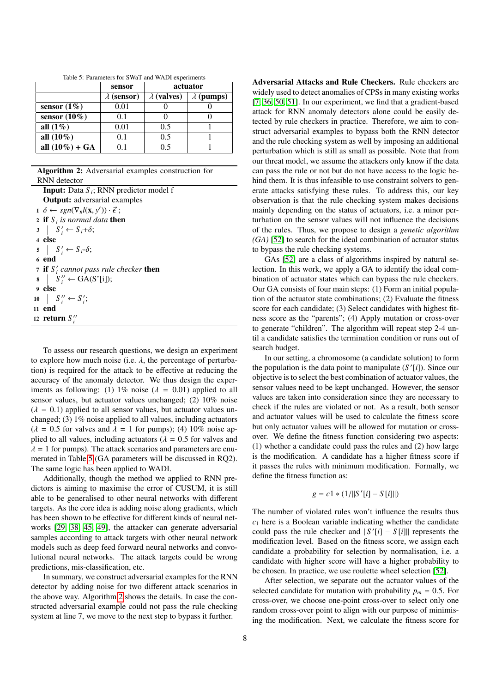|                   | sensor             |                    | actuator          |
|-------------------|--------------------|--------------------|-------------------|
|                   | $\lambda$ (sensor) | $\lambda$ (valves) | $\lambda$ (pumps) |
| sensor $(1\%)$    | 0.01               |                    |                   |
| sensor $(10\%)$   | 0.1                |                    |                   |
| all $(1\%)$       | 0.01               | 0.5                |                   |
| all $(10\%)$      | 0.1                | 0.5                |                   |
| all $(10\%) + GA$ | ີ 1                | ი ร                |                   |

<span id="page-7-0"></span>Table 5: Parameters for SWaT and WADI experiments

Algorithm 2: Adversarial examples construction for RNN detector

| <b>Input:</b> Data $S_i$ ; RNN predictor model f                                                 |
|--------------------------------------------------------------------------------------------------|
| <b>Output:</b> adversarial examples                                                              |
| $1 \ \delta \leftarrow \text{sgn}(\nabla_{\mathbf{x}} l(\mathbf{x}, y')) \cdot \vec{\epsilon}$ ; |
| 2 if $S_i$ is normal data then                                                                   |
| $3 \mid S'_i \leftarrow S_i + \delta;$                                                           |
| 4 else                                                                                           |
| $5 \mid S'_i \leftarrow S_i \cdot \delta;$                                                       |
| 6 end                                                                                            |
| 7 if $S_i'$ cannot pass rule checker then                                                        |
| $\begin{array}{c c} \mathbf{8} & S''_i \leftarrow \text{GA}(S'[i]); \end{array}$                 |
| 9 else                                                                                           |
| 10   $S_i'' \leftarrow S_i'$ ;                                                                   |
| 11 end                                                                                           |
| 12 return $S_i''$                                                                                |

<span id="page-7-1"></span>To assess our research questions, we design an experiment to explore how much noise (i.e.  $\lambda$ , the percentage of perturbation) is required for the attack to be effective at reducing the accuracy of the anomaly detector. We thus design the experiments as following: (1) 1% noise ( $\lambda = 0.01$ ) applied to all sensor values, but actuator values unchanged; (2) 10% noise  $(\lambda = 0.1)$  applied to all sensor values, but actuator values unchanged; (3) 1% noise applied to all values, including actuators  $(\lambda = 0.5$  for valves and  $\lambda = 1$  for pumps); (4) 10% noise applied to all values, including actuators ( $\lambda = 0.5$  for valves and  $\lambda = 1$  for pumps). The attack scenarios and parameters are enumerated in Table [5](#page-7-0) (GA parameters will be discussed in RQ2). The same logic has been applied to WADI.

Additionally, though the method we applied to RNN predictors is aiming to maximise the error of CUSUM, it is still able to be generalised to other neural networks with different targets. As the core idea is adding noise along gradients, which has been shown to be effective for different kinds of neural networks [\[29,](#page-11-28) [38,](#page-12-5) [45,](#page-12-12) [49\]](#page-12-16), the attacker can generate adversarial samples according to attack targets with other neural network models such as deep feed forward neural networks and convolutional neural networks. The attack targets could be wrong predictions, mis-classification, etc.

In summary, we construct adversarial examples for the RNN detector by adding noise for two different attack scenarios in the above way. Algorithm [2](#page-7-1) shows the details. In case the constructed adversarial example could not pass the rule checking system at line 7, we move to the next step to bypass it further.

Adversarial Attacks and Rule Checkers. Rule checkers are widely used to detect anomalies of CPSs in many existing works [\[7,](#page-11-6) [36,](#page-12-3) [50,](#page-12-17) [51\]](#page-12-18). In our experiment, we find that a gradient-based attack for RNN anomaly detectors alone could be easily detected by rule checkers in practice. Therefore, we aim to construct adversarial examples to bypass both the RNN detector and the rule checking system as well by imposing an additional perturbation which is still as small as possible. Note that from our threat model, we assume the attackers only know if the data can pass the rule or not but do not have access to the logic behind them. It is thus infeasible to use constraint solvers to generate attacks satisfying these rules. To address this, our key observation is that the rule checking system makes decisions mainly depending on the status of actuators, i.e. a minor perturbation on the sensor values will not influence the decisions of the rules. Thus, we propose to design a *genetic algorithm (GA)* [\[52\]](#page-12-19) to search for the ideal combination of actuator status to bypass the rule checking systems.

GAs [\[52\]](#page-12-19) are a class of algorithms inspired by natural selection. In this work, we apply a GA to identify the ideal combination of actuator states which can bypass the rule checkers. Our GA consists of four main steps: (1) Form an initial population of the actuator state combinations; (2) Evaluate the fitness score for each candidate; (3) Select candidates with highest fitness score as the "parents"; (4) Apply mutation or cross-over to generate "children". The algorithm will repeat step 2-4 until a candidate satisfies the termination condition or runs out of search budget.

In our setting, a chromosome (a candidate solution) to form the population is the data point to manipulate  $(S'[i])$ . Since our objective is to select the best combination of actuator values, the sensor values need to be kept unchanged. However, the sensor values are taken into consideration since they are necessary to check if the rules are violated or not. As a result, both sensor and actuator values will be used to calculate the fitness score but only actuator values will be allowed for mutation or crossover. We define the fitness function considering two aspects: (1) whether a candidate could pass the rules and (2) how large is the modification. A candidate has a higher fitness score if it passes the rules with minimum modification. Formally, we define the fitness function as:

$$
g = c1 * (1/||S'[i] - S[i]||)
$$

The number of violated rules won't influence the results thus  $c_1$  here is a Boolean variable indicating whether the candidate could pass the rule checker and  $||S'[i] - S[i]||$  represents the modification level. Based on the fitness score, we assign each candidate a probability for selection by normalisation, i.e. a candidate with higher score will have a higher probability to be chosen. In practice, we use roulette wheel selection [\[52\]](#page-12-19).

After selection, we separate out the actuator values of the selected candidate for mutation with probability  $p_m = 0.5$ . For cross-over, we choose one-point cross-over to select only one random cross-over point to align with our purpose of minimising the modification. Next, we calculate the fitness score for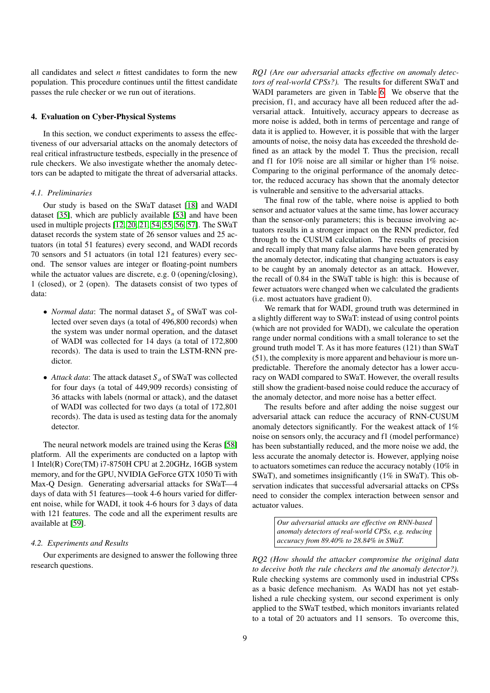all candidates and select *n* fittest candidates to form the new population. This procedure continues until the fittest candidate passes the rule checker or we run out of iterations.

# 4. Evaluation on Cyber-Physical Systems

In this section, we conduct experiments to assess the effectiveness of our adversarial attacks on the anomaly detectors of real critical infrastructure testbeds, especially in the presence of rule checkers. We also investigate whether the anomaly detectors can be adapted to mitigate the threat of adversarial attacks.

# *4.1. Preliminaries*

Our study is based on the SWaT dataset [\[18\]](#page-11-17) and WADI dataset [\[35\]](#page-12-2), which are publicly available [\[53\]](#page-12-20) and have been used in multiple projects [\[12,](#page-11-11) [20,](#page-11-19) [21,](#page-11-20) [54,](#page-12-21) [55,](#page-12-22) [56,](#page-12-23) [57\]](#page-12-24). The SWaT dataset records the system state of 26 sensor values and 25 actuators (in total 51 features) every second, and WADI records 70 sensors and 51 actuators (in total 121 features) every second. The sensor values are integer or floating-point numbers while the actuator values are discrete, e.g. 0 (opening/closing), 1 (closed), or 2 (open). The datasets consist of two types of data:

- *Normal data*: The normal dataset *S <sup>n</sup>* of SWaT was collected over seven days (a total of 496,800 records) when the system was under normal operation, and the dataset of WADI was collected for 14 days (a total of 172,800 records). The data is used to train the LSTM-RNN predictor.
- *Attack data*: The attack dataset *S <sup>a</sup>* of SWaT was collected for four days (a total of 449,909 records) consisting of 36 attacks with labels (normal or attack), and the dataset of WADI was collected for two days (a total of 172,801 records). The data is used as testing data for the anomaly detector.

The neural network models are trained using the Keras [\[58\]](#page-12-25) platform. All the experiments are conducted on a laptop with 1 Intel(R) Core(TM) i7-8750H CPU at 2.20GHz, 16GB system memory, and for the GPU, NVIDIA GeForce GTX 1050 Ti with Max-Q Design. Generating adversarial attacks for SWaT—4 days of data with 51 features—took 4-6 hours varied for different noise, while for WADI, it took 4-6 hours for 3 days of data with 121 features. The code and all the experiment results are available at [\[59\]](#page-12-26).

# *4.2. Experiments and Results*

Our experiments are designed to answer the following three research questions.

*RQ1 (Are our adversarial attacks e*ff*ective on anomaly detectors of real-world CPSs?).* The results for different SWaT and WADI parameters are given in Table [6.](#page-9-0) We observe that the precision, f1, and accuracy have all been reduced after the adversarial attack. Intuitively, accuracy appears to decrease as more noise is added, both in terms of percentage and range of data it is applied to. However, it is possible that with the larger amounts of noise, the noisy data has exceeded the threshold defined as an attack by the model T. Thus the precision, recall and f1 for 10% noise are all similar or higher than 1% noise. Comparing to the original performance of the anomaly detector, the reduced accuracy has shown that the anomaly detector is vulnerable and sensitive to the adversarial attacks.

The final row of the table, where noise is applied to both sensor and actuator values at the same time, has lower accuracy than the sensor-only parameters; this is because involving actuators results in a stronger impact on the RNN predictor, fed through to the CUSUM calculation. The results of precision and recall imply that many false alarms have been generated by the anomaly detector, indicating that changing actuators is easy to be caught by an anomaly detector as an attack. However, the recall of 0.84 in the SWaT table is high: this is because of fewer actuators were changed when we calculated the gradients (i.e. most actuators have gradient 0).

We remark that for WADI, ground truth was determined in a slightly different way to SWaT: instead of using control points (which are not provided for WADI), we calculate the operation range under normal conditions with a small tolerance to set the ground truth model T. As it has more features (121) than SWaT (51), the complexity is more apparent and behaviour is more unpredictable. Therefore the anomaly detector has a lower accuracy on WADI compared to SWaT. However, the overall results still show the gradient-based noise could reduce the accuracy of the anomaly detector, and more noise has a better effect.

The results before and after adding the noise suggest our adversarial attack can reduce the accuracy of RNN-CUSUM anomaly detectors significantly. For the weakest attack of 1% noise on sensors only, the accuracy and f1 (model performance) has been substantially reduced, and the more noise we add, the less accurate the anomaly detector is. However, applying noise to actuators sometimes can reduce the accuracy notably (10% in SWaT), and sometimes insignificantly (1% in SWaT). This observation indicates that successful adversarial attacks on CPSs need to consider the complex interaction between sensor and actuator values.

> *Our adversarial attacks are e*ff*ective on RNN-based anomaly detectors of real-world CPSs, e.g. reducing accuracy from 89.40% to 28.84% in SWaT.*

*RQ2 (How should the attacker compromise the original data to deceive both the rule checkers and the anomaly detector?).* Rule checking systems are commonly used in industrial CPSs as a basic defence mechanism. As WADI has not yet established a rule checking system, our second experiment is only applied to the SWaT testbed, which monitors invariants related to a total of 20 actuators and 11 sensors. To overcome this,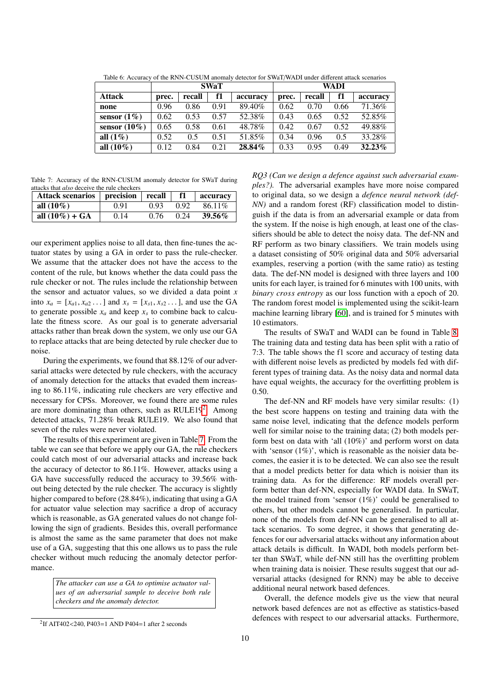|                 | <b>SWaT</b> |        |      |          | WADI  |        |      |           |
|-----------------|-------------|--------|------|----------|-------|--------|------|-----------|
| <b>Attack</b>   | prec.       | recall | f1   | accuracy | prec. | recall | f1   | accuracy  |
| none            | 0.96        | 0.86   | 0.91 | 89.40%   | 0.62  | 0.70   | 0.66 | 71.36%    |
| sensor $(1\%)$  | 0.62        | 0.53   | 0.57 | 52.38%   | 0.43  | 0.65   | 0.52 | 52.85%    |
| sensor $(10\%)$ | 0.65        | 0.58   | 0.61 | 48.78%   | 0.42  | 0.67   | 0.52 | 49.88%    |
| all $(1\%)$     | 0.52        | 0.5    | 0.51 | 51.85%   | 0.34  | 0.96   | 0.5  | 33.28%    |
| all $(10\%)$    | 0.12        | 0.84   | 0.21 | 28.84%   | 0.33  | 0.95   | 0.49 | $32.23\%$ |

<span id="page-9-0"></span>Table 6: Accuracy of the RNN-CUSUM anomaly detector for SWaT/WADI under different attack scenarios

<span id="page-9-2"></span>Table 7: Accuracy of the RNN-CUSUM anomaly detector for SWaT during attacks that *also* deceive the rule checkers

| Attack scenarios   precision   recall |      |      | -f1  | accuracy  |
|---------------------------------------|------|------|------|-----------|
| all $(10\%)$                          | 0.91 | 0.93 | 0.92 | 86.11\%   |
| all $(10\%) + GA$                     | 0.14 | 0.76 | 0.24 | $39.56\%$ |

our experiment applies noise to all data, then fine-tunes the actuator states by using a GA in order to pass the rule-checker. We assume that the attacker does not have the access to the content of the rule, but knows whether the data could pass the rule checker or not. The rules include the relationship between the sensor and actuator values, so we divided a data point *x* into  $x_a = [x_{a1}, x_{a2}, \dots]$  and  $x_s = [x_{s1}, x_{s2}, \dots]$ , and use the GA to generate possible  $x_a$  and keep  $x_s$  to combine back to calculate the fitness score. As our goal is to generate adversarial attacks rather than break down the system, we only use our GA to replace attacks that are being detected by rule checker due to noise.

During the experiments, we found that 88.12% of our adversarial attacks were detected by rule checkers, with the accuracy of anomaly detection for the attacks that evaded them increasing to 86.11%, indicating rule checkers are very effective and necessary for CPSs. Moreover, we found there are some rules are more dominating than others, such as  $RULE19<sup>2</sup>$  $RULE19<sup>2</sup>$  $RULE19<sup>2</sup>$ . Among detected attacks, 71.28% break RULE19. We also found that seven of the rules were never violated.

The results of this experiment are given in Table [7.](#page-9-2) From the table we can see that before we apply our GA, the rule checkers could catch most of our adversarial attacks and increase back the accuracy of detector to 86.11%. However, attacks using a GA have successfully reduced the accuracy to 39.56% without being detected by the rule checker. The accuracy is slightly higher compared to before (28.84%), indicating that using a GA for actuator value selection may sacrifice a drop of accuracy which is reasonable, as GA generated values do not change following the sign of gradients. Besides this, overall performance is almost the same as the same parameter that does not make use of a GA, suggesting that this one allows us to pass the rule checker without much reducing the anomaly detector performance.

> *The attacker can use a GA to optimise actuator values of an adversarial sample to deceive both rule checkers and the anomaly detector.*

*RQ3 (Can we design a defence against such adversarial examples?).* The adversarial examples have more noise compared to original data, so we design a *defence neural network (def-NN)* and a random forest (RF) classification model to distinguish if the data is from an adversarial example or data from the system. If the noise is high enough, at least one of the classifiers should be able to detect the noisy data. The def-NN and RF perform as two binary classifiers. We train models using a dataset consisting of 50% original data and 50% adversarial examples, reserving a portion (with the same ratio) as testing data. The def-NN model is designed with three layers and 100 units for each layer, is trained for 6 minutes with 100 units, with *binary cross entropy* as our loss function with a epoch of 20. The random forest model is implemented using the scikit-learn machine learning library [\[60\]](#page-12-27), and is trained for 5 minutes with 10 estimators.

The results of SWaT and WADI can be found in Table [8.](#page-10-0) The training data and testing data has been split with a ratio of 7:3. The table shows the f1 score and accuracy of testing data with different noise levels as predicted by models fed with different types of training data. As the noisy data and normal data have equal weights, the accuracy for the overfitting problem is 0.50.

The def-NN and RF models have very similar results: (1) the best score happens on testing and training data with the same noise level, indicating that the defence models perform well for similar noise to the training data; (2) both models perform best on data with 'all (10%)' and perform worst on data with 'sensor  $(1\%)$ ', which is reasonable as the noisier data becomes, the easier it is to be detected. We can also see the result that a model predicts better for data which is noisier than its training data. As for the difference: RF models overall perform better than def-NN, especially for WADI data. In SWaT, the model trained from 'sensor  $(1\%)$ ' could be generalised to others, but other models cannot be generalised. In particular, none of the models from def-NN can be generalised to all attack scenarios. To some degree, it shows that generating defences for our adversarial attacks without any information about attack details is difficult. In WADI, both models perform better than SWaT, while def-NN still has the overfitting problem when training data is noisier. These results suggest that our adversarial attacks (designed for RNN) may be able to deceive additional neural network based defences.

Overall, the defence models give us the view that neural network based defences are not as effective as statistics-based defences with respect to our adversarial attacks. Furthermore,

<span id="page-9-1"></span><sup>2</sup> If AIT402<240, P403=1 AND P404=1 after 2 seconds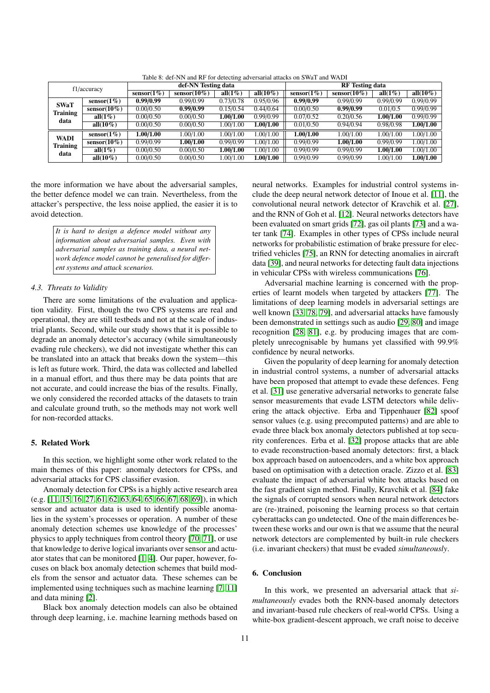| f1/accuracy     |                 | def-NN Testing data |                 |             |              | <b>RF</b> Testing data |                 |             |              |
|-----------------|-----------------|---------------------|-----------------|-------------|--------------|------------------------|-----------------|-------------|--------------|
|                 |                 | sensor $(1\%)$      | sensor $(10\%)$ | all $(1\%)$ | all $(10\%)$ | sensor $(1\%)$         | sensor $(10\%)$ | all $(1\%)$ | all $(10\%)$ |
| <b>SWaT</b>     | sensor $(1\%)$  | 0.99/0.99           | 0.99/0.99       | 0.73/0.78   | 0.95/0.96    | 0.99/0.99              | 0.99/0.99       | 0.99/0.99   | 0.99/0.99    |
| <b>Training</b> | sensor $(10\%)$ | 0.00/0.50           | 0.99/0.99       | 0.15/0.54   | 0.44/0.64    | 0.00/0.50              | 0.99/0.99       | 0.01/0.5    | 0.99/0.99    |
| data            | all $(1\%)$     | 0.00/0.50           | 0.00/0.50       | 1.00/1.00   | 0.99/0.99    | 0.07/0.52              | 0.20/0.56       | 1.00/1.00   | 0.99/0.99    |
|                 | all $(10\%)$    | 0.00/0.50           | 0.00/0.50       | 1.00/1.00   | 1.00/1.00    | 0.01/0.50              | 0.94/0.94       | 0.98/0.98   | 1.00/1.00    |
| <b>WADI</b>     | sensor $(1\%)$  | 1.00/1.00           | 1.00/1.00       | 1.00/1.00   | 1.00/1.00    | 1.00/1.00              | 1.00/1.00       | 1.00/1.00   | 1.00/1.00    |
| <b>Training</b> | sensor $(10\%)$ | 0.99/0.99           | 1.00/1.00       | 0.99/0.99   | 1.00/1.00    | 0.99/0.99              | 1.00/1.00       | 0.99/0.99   | 1.00/1.00    |
| data            | all $(1\%)$     | 0.00/0.50           | 0.00/0.50       | 1.00/1.00   | 1.00/1.00    | 0.99/0.99              | 0.99/0.99       | 1.00/1.00   | 1.00/1.00    |
|                 | all $(10\%)$    | 0.00/0.50           | 0.00/0.50       | 1.00/1.00   | 1.00/1.00    | 0.99/0.99              | 0.99/0.99       | 1.00/1.00   | 1.00/1.00    |

<span id="page-10-0"></span>Table 8: def-NN and RF for detecting adversarial attacks on SWaT and WADI

the more information we have about the adversarial samples, the better defence model we can train. Nevertheless, from the attacker's perspective, the less noise applied, the easier it is to avoid detection.

> *It is hard to design a defence model without any information about adversarial samples. Even with adversarial samples as training data, a neural network defence model cannot be generalised for di*ff*erent systems and attack scenarios.*

## *4.3. Threats to Validity*

There are some limitations of the evaluation and application validity. First, though the two CPS systems are real and operational, they are still testbeds and not at the scale of industrial plants. Second, while our study shows that it is possible to degrade an anomaly detector's accuracy (while simultaneously evading rule checkers), we did not investigate whether this can be translated into an attack that breaks down the system—this is left as future work. Third, the data was collected and labelled in a manual effort, and thus there may be data points that are not accurate, and could increase the bias of the results. Finally, we only considered the recorded attacks of the datasets to train and calculate ground truth, so the methods may not work well for non-recorded attacks.

### 5. Related Work

In this section, we highlight some other work related to the main themes of this paper: anomaly detectors for CPSs, and adversarial attacks for CPS classifier evasion.

Anomaly detection for CPSs is a highly active research area (e.g. [\[11,](#page-11-10) [15,](#page-11-14) [16,](#page-11-15) [27,](#page-11-26) [61,](#page-12-28) [62,](#page-12-29) [63,](#page-12-30) [64,](#page-12-31) [65,](#page-12-32) [66,](#page-12-33) [67,](#page-12-34) [68,](#page-12-35) [69\]](#page-12-36)), in which sensor and actuator data is used to identify possible anomalies in the system's processes or operation. A number of these anomaly detection schemes use knowledge of the processes' physics to apply techniques from control theory [\[70,](#page-12-37) [71\]](#page-12-38), or use that knowledge to derive logical invariants over sensor and actuator states that can be monitored [\[1,](#page-11-0) [4\]](#page-11-3). Our paper, however, focuses on black box anomaly detection schemes that build models from the sensor and actuator data. These schemes can be implemented using techniques such as machine learning [\[7,](#page-11-6) [11\]](#page-11-10) and data mining [\[2\]](#page-11-1).

Black box anomaly detection models can also be obtained through deep learning, i.e. machine learning methods based on

neural networks. Examples for industrial control systems include the deep neural network detector of Inoue et al. [\[11\]](#page-11-10), the convolutional neural network detector of Kravchik et al. [\[27\]](#page-11-26), and the RNN of Goh et al. [\[12\]](#page-11-11). Neural networks detectors have been evaluated on smart grids [\[72\]](#page-12-39), gas oil plants [\[73\]](#page-12-40) and a water tank [\[74\]](#page-12-41). Examples in other types of CPSs include neural networks for probabilistic estimation of brake pressure for electrified vehicles [\[75\]](#page-12-42), an RNN for detecting anomalies in aircraft data [\[39\]](#page-12-6), and neural networks for detecting fault data injections in vehicular CPSs with wireless communications [\[76\]](#page-12-43).

Adversarial machine learning is concerned with the properties of learnt models when targeted by attackers [\[77\]](#page-13-0). The limitations of deep learning models in adversarial settings are well known [\[33,](#page-12-0) [78,](#page-13-1) [79\]](#page-13-2), and adversarial attacks have famously been demonstrated in settings such as audio [\[29,](#page-11-28) [80\]](#page-13-3) and image recognition [\[28,](#page-11-27) [81\]](#page-13-4), e.g. by producing images that are completely unrecognisable by humans yet classified with 99.9% confidence by neural networks.

Given the popularity of deep learning for anomaly detection in industrial control systems, a number of adversarial attacks have been proposed that attempt to evade these defences. Feng et al. [\[31\]](#page-11-30) use generative adversarial networks to generate false sensor measurements that evade LSTM detectors while delivering the attack objective. Erba and Tippenhauer [\[82\]](#page-13-5) spoof sensor values (e.g. using precomputed patterns) and are able to evade three black box anomaly detectors published at top security conferences. Erba et al. [\[32\]](#page-11-31) propose attacks that are able to evade reconstruction-based anomaly detectors: first, a black box approach based on autoencoders, and a white box approach based on optimisation with a detection oracle. Zizzo et al. [\[83\]](#page-13-6) evaluate the impact of adversarial white box attacks based on the fast gradient sign method. Finally, Kravchik et al. [\[84\]](#page-13-7) fake the signals of corrupted sensors when neural network detectors are (re-)trained, poisoning the learning process so that certain cyberattacks can go undetected. One of the main differences between these works and our own is that we assume that the neural network detectors are complemented by built-in rule checkers (i.e. invariant checkers) that must be evaded *simultaneously*.

# 6. Conclusion

In this work, we presented an adversarial attack that *simultaneously* evades both the RNN-based anomaly detectors and invariant-based rule checkers of real-world CPSs. Using a white-box gradient-descent approach, we craft noise to deceive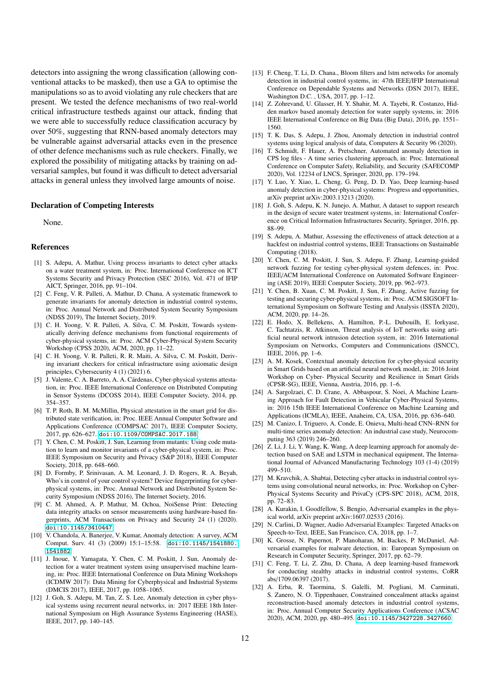detectors into assigning the wrong classification (allowing conventional attacks to be masked), then use a GA to optimise the manipulations so as to avoid violating any rule checkers that are present. We tested the defence mechanisms of two real-world critical infrastructure testbeds against our attack, finding that we were able to successfully reduce classification accuracy by over 50%, suggesting that RNN-based anomaly detectors may be vulnerable against adversarial attacks even in the presence of other defence mechanisms such as rule checkers. Finally, we explored the possibility of mitigating attacks by training on adversarial samples, but found it was difficult to detect adversarial attacks in general unless they involved large amounts of noise.

#### Declaration of Competing Interests

None.

# References

- <span id="page-11-0"></span>[1] S. Adepu, A. Mathur, Using process invariants to detect cyber attacks on a water treatment system, in: Proc. International Conference on ICT Systems Security and Privacy Protection (SEC 2016), Vol. 471 of IFIP AICT, Springer, 2016, pp. 91–104.
- <span id="page-11-1"></span>[2] C. Feng, V. R. Palleti, A. Mathur, D. Chana, A systematic framework to generate invariants for anomaly detection in industrial control systems, in: Proc. Annual Network and Distributed System Security Symposium (NDSS 2019), The Internet Society, 2019.
- <span id="page-11-2"></span>[3] C. H. Yoong, V. R. Palleti, A. Silva, C. M. Poskitt, Towards systematically deriving defence mechanisms from functional requirements of cyber-physical systems, in: Proc. ACM Cyber-Physical System Security Workshop (CPSS 2020), ACM, 2020, pp. 11–22.
- <span id="page-11-3"></span>[4] C. H. Yoong, V. R. Palleti, R. R. Maiti, A. Silva, C. M. Poskitt, Deriving invariant checkers for critical infrastructure using axiomatic design principles, Cybersecurity 4 (1) (2021) 6.
- <span id="page-11-4"></span>[5] J. Valente, C. A. Barreto, A. A. Cárdenas, Cyber-physical systems attestation, in: Proc. IEEE International Conference on Distributed Computing in Sensor Systems (DCOSS 2014), IEEE Computer Society, 2014, pp. 354–357.
- <span id="page-11-5"></span>[6] T. P. Roth, B. M. McMillin, Physical attestation in the smart grid for distributed state verification, in: Proc. IEEE Annual Computer Software and Applications Conference (COMPSAC 2017), IEEE Computer Society, 2017, pp. 626–627. [doi:10.1109/COMPSAC.2017.188](https://doi.org/10.1109/COMPSAC.2017.188).
- <span id="page-11-6"></span>[7] Y. Chen, C. M. Poskitt, J. Sun, Learning from mutants: Using code mutation to learn and monitor invariants of a cyber-physical system, in: Proc. IEEE Symposium on Security and Privacy (S&P 2018), IEEE Computer Society, 2018, pp. 648–660.
- <span id="page-11-7"></span>[8] D. Formby, P. Srinivasan, A. M. Leonard, J. D. Rogers, R. A. Beyah, Who's in control of your control system? Device fingerprinting for cyberphysical systems, in: Proc. Annual Network and Distributed System Security Symposium (NDSS 2016), The Internet Society, 2016.
- <span id="page-11-8"></span>[9] C. M. Ahmed, A. P. Mathur, M. Ochoa, NoiSense Print: Detecting data integrity attacks on sensor measurements using hardware-based fingerprints, ACM Transactions on Privacy and Security 24 (1) (2020). [doi:10.1145/3410447](https://doi.org/10.1145/3410447).
- <span id="page-11-9"></span>[10] V. Chandola, A. Banerjee, V. Kumar, Anomaly detection: A survey, ACM Comput. Surv. 41 (3) (2009) 15:1–15:58. [doi:10.1145/1541880.](https://doi.org/10.1145/1541880.1541882) [1541882](https://doi.org/10.1145/1541880.1541882).
- <span id="page-11-10"></span>[11] J. Inoue, Y. Yamagata, Y. Chen, C. M. Poskitt, J. Sun, Anomaly detection for a water treatment system using unsupervised machine learning, in: Proc. IEEE International Conference on Data Mining Workshops (ICDMW 2017): Data Mining for Cyberphysical and Industrial Systems (DMCIS 2017), IEEE, 2017, pp. 1058–1065.
- <span id="page-11-11"></span>[12] J. Goh, S. Adepu, M. Tan, Z. S. Lee, Anomaly detection in cyber physical systems using recurrent neural networks, in: 2017 IEEE 18th International Symposium on High Assurance Systems Engineering (HASE), IEEE, 2017, pp. 140–145.
- <span id="page-11-12"></span>[13] F. Cheng, T. Li, D. Chana., Bloom filters and lstm networks for anomaly detection in industrial control systems, in: 47th IEEE/IFIP International Conference on Dependable Systems and Networks (DSN 2017), IEEE, Washington D.C. , USA, 2017, pp. 1–12.
- <span id="page-11-13"></span>[14] Z. Zohrevand, U. Glasser, H. Y. Shahir, M. A. Tayebi, R. Costanzo, Hidden markov based anomaly detection for water supply systems, in: 2016 IEEE International Conference on Big Data (Big Data), 2016, pp. 1551– 1560.
- <span id="page-11-14"></span>[15] T. K. Das, S. Adepu, J. Zhou, Anomaly detection in industrial control systems using logical analysis of data, Computers & Security 96 (2020).
- <span id="page-11-15"></span>[16] T. Schmidt, F. Hauer, A. Pretschner, Automated anomaly detection in CPS log files - A time series clustering approach, in: Proc. International Conference on Computer Safety, Reliability, and Security (SAFECOMP 2020), Vol. 12234 of LNCS, Springer, 2020, pp. 179–194.
- <span id="page-11-16"></span>[17] Y. Luo, Y. Xiao, L. Cheng, G. Peng, D. D. Yao, Deep learning-based anomaly detection in cyber-physical systems: Progress and opportunities, arXiv preprint arXiv:2003.13213 (2020).
- <span id="page-11-17"></span>[18] J. Goh, S. Adepu, K. N. Junejo, A. Mathur, A dataset to support research in the design of secure water treatment systems, in: International Conference on Critical Information Infrastructures Security, Springer, 2016, pp. 88–99.
- <span id="page-11-18"></span>[19] S. Adepu, A. Mathur, Assessing the effectiveness of attack detection at a hackfest on industrial control systems, IEEE Transactions on Sustainable Computing (2018).
- <span id="page-11-19"></span>[20] Y. Chen, C. M. Poskitt, J. Sun, S. Adepu, F. Zhang, Learning-guided network fuzzing for testing cyber-physical system defences, in: Proc. IEEE/ACM International Conference on Automated Software Engineering (ASE 2019), IEEE Computer Society, 2019, pp. 962–973.
- <span id="page-11-20"></span>[21] Y. Chen, B. Xuan, C. M. Poskitt, J. Sun, F. Zhang, Active fuzzing for testing and securing cyber-physical systems, in: Proc. ACM SIGSOFT International Symposium on Software Testing and Analysis (ISSTA 2020), ACM, 2020, pp. 14–26.
- <span id="page-11-21"></span>[22] E. Hodo, X. Bellekens, A. Hamilton, P.-L. Dubouilh, E. Iorkyase, C. Tachtatzis, R. Atkinson, Threat analysis of IoT networks using artificial neural network intrusion detection system, in: 2016 International Symposium on Networks, Computers and Communications (ISNCC), IEEE, 2016, pp. 1–6.
- <span id="page-11-22"></span>[23] A. M. Kosek, Contextual anomaly detection for cyber-physical security in Smart Grids based on an artificial neural network model, in: 2016 Joint Workshop on Cyber- Physical Security and Resilience in Smart Grids (CPSR-SG), IEEE, Vienna, Austria, 2016, pp. 1–6.
- <span id="page-11-23"></span>[24] A. Sargolzaei, C. D. Crane, A. Abbaspour, S. Noei, A Machine Learning Approach for Fault Detection in Vehicular Cyber-Physical Systems, in: 2016 15th IEEE International Conference on Machine Learning and Applications (ICMLA), IEEE, Anaheim, CA, USA, 2016, pp. 636–640.
- <span id="page-11-24"></span>[25] M. Canizo, I. Triguero, A. Conde, E. Onieva, Multi-head CNN–RNN for multi-time series anomaly detection: An industrial case study, Neurocomputing 363 (2019) 246–260.
- <span id="page-11-25"></span>[26] Z. Li, J. Li, Y. Wang, K. Wang, A deep learning approach for anomaly detection based on SAE and LSTM in mechanical equipment, The International Journal of Advanced Manufacturing Technology 103 (1-4) (2019) 499–510.
- <span id="page-11-26"></span>[27] M. Kravchik, A. Shabtai, Detecting cyber attacks in industrial control systems using convolutional neural networks, in: Proc. Workshop on Cyber-Physical Systems Security and PrivaCy (CPS-SPC 2018), ACM, 2018, pp. 72–83.
- <span id="page-11-27"></span>[28] A. Kurakin, I. Goodfellow, S. Bengio, Adversarial examples in the physical world, arXiv preprint arXiv:1607.02533 (2016).
- <span id="page-11-28"></span>[29] N. Carlini, D. Wagner, Audio Adversarial Examples: Targeted Attacks on Speech-to-Text, IEEE, San Francisco, CA, 2018, pp. 1–7.
- <span id="page-11-29"></span>[30] K. Grosse, N. Papernot, P. Manoharan, M. Backes, P. McDaniel, Adversarial examples for malware detection, in: European Symposium on Research in Computer Security, Springer, 2017, pp. 62–79.
- <span id="page-11-30"></span>[31] C. Feng, T. Li, Z. Zhu, D. Chana, A deep learning-based framework for conducting stealthy attacks in industrial control systems, CoRR abs/1709.06397 (2017).
- <span id="page-11-31"></span>[32] A. Erba, R. Taormina, S. Galelli, M. Pogliani, M. Carminati, S. Zanero, N. O. Tippenhauer, Constrained concealment attacks against reconstruction-based anomaly detectors in industrial control systems, in: Proc. Annual Computer Security Applications Conference (ACSAC 2020), ACM, 2020, pp. 480–495. [doi:10.1145/3427228.3427660](https://doi.org/10.1145/3427228.3427660).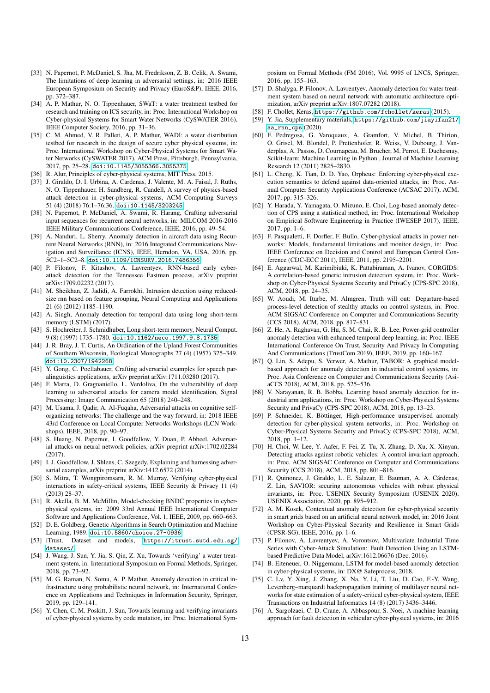- <span id="page-12-0"></span>[33] N. Papernot, P. McDaniel, S. Jha, M. Fredrikson, Z. B. Celik, A. Swami, The limitations of deep learning in adversarial settings, in: 2016 IEEE European Symposium on Security and Privacy (EuroS&P), IEEE, 2016, pp. 372–387.
- <span id="page-12-1"></span>[34] A. P. Mathur, N. O. Tippenhauer, SWaT: a water treatment testbed for research and training on ICS security, in: Proc. International Workshop on Cyber-physical Systems for Smart Water Networks (CySWATER 2016), IEEE Computer Society, 2016, pp. 31–36.
- <span id="page-12-2"></span>[35] C. M. Ahmed, V. R. Palleti, A. P. Mathur, WADI: a water distribution testbed for research in the design of secure cyber physical systems, in: Proc. International Workshop on Cyber-Physical Systems for Smart Water Networks (CySWATER 2017), ACM Press, Pittsburgh, Pennsylvania, 2017, pp. 25–28. [doi:10.1145/3055366.3055375](https://doi.org/10.1145/3055366.3055375).
- <span id="page-12-3"></span>[36] R. Alur, Principles of cyber-physical systems, MIT Press, 2015.
- <span id="page-12-4"></span>[37] J. Giraldo, D. I. Urbina, A. Cardenas, J. Valente, M. A. Faisal, J. Ruths, N. O. Tippenhauer, H. Sandberg, R. Candell, A survey of physics-based attack detection in cyber-physical systems, ACM Computing Surveys 51 (4) (2018) 76:1–76:36. [doi:10.1145/3203245](https://doi.org/10.1145/3203245).
- <span id="page-12-5"></span>[38] N. Papernot, P. McDaniel, A. Swami, R. Harang, Crafting adversarial input sequences for recurrent neural networks, in: MILCOM 2016-2016 IEEE Military Communications Conference, IEEE, 2016, pp. 49–54.
- <span id="page-12-6"></span>[39] A. Nanduri, L. Sherry, Anomaly detection in aircraft data using Recurrent Neural Networks (RNN), in: 2016 Integrated Communications Navigation and Surveillance (ICNS), IEEE, Herndon, VA, USA, 2016, pp. 5C2–1–5C2–8. [doi:10.1109/ICNSURV.2016.7486356](https://doi.org/10.1109/ICNSURV.2016.7486356).
- <span id="page-12-7"></span>[40] P. Filonov, F. Kitashov, A. Lavrentyev, RNN-based early cyberattack detection for the Tennessee Eastman process, arXiv preprint arXiv:1709.02232 (2017).
- <span id="page-12-8"></span>[41] M. Sheikhan, Z. Jadidi, A. Farrokhi, Intrusion detection using reducedsize rnn based on feature grouping, Neural Computing and Applications 21 (6) (2012) 1185–1190.
- <span id="page-12-9"></span>[42] A. Singh, Anomaly detection for temporal data using long short-term memory (LSTM) (2017).
- <span id="page-12-10"></span>[43] S. Hochreiter, J. Schmidhuber, Long short-term memory, Neural Comput. 9 (8) (1997) 1735–1780. [doi:10.1162/neco.1997.9.8.1735](https://doi.org/10.1162/neco.1997.9.8.1735).
- <span id="page-12-11"></span>[44] J. R. Bray, J. T. Curtis, An Ordination of the Upland Forest Communities of Southern Wisconsin, Ecological Monographs 27 (4) (1957) 325–349. [doi:10.2307/1942268](https://doi.org/10.2307/1942268).
- <span id="page-12-12"></span>[45] Y. Gong, C. Poellabauer, Crafting adversarial examples for speech paralinguistics applications, arXiv preprint arXiv:1711.03280 (2017).
- <span id="page-12-13"></span>[46] F. Marra, D. Gragnaniello, L. Verdoliva, On the vulnerability of deep learning to adversarial attacks for camera model identification, Signal Processing: Image Communication 65 (2018) 240–248.
- <span id="page-12-14"></span>[47] M. Usama, J. Qadir, A. Al-Fuqaha, Adversarial attacks on cognitive selforganizing networks: The challenge and the way forward, in: 2018 IEEE 43rd Conference on Local Computer Networks Workshops (LCN Workshops), IEEE, 2018, pp. 90–97.
- <span id="page-12-15"></span>[48] S. Huang, N. Papernot, I. Goodfellow, Y. Duan, P. Abbeel, Adversarial attacks on neural network policies, arXiv preprint arXiv:1702.02284 (2017).
- <span id="page-12-16"></span>[49] I. J. Goodfellow, J. Shlens, C. Szegedy, Explaining and harnessing adversarial examples, arXiv preprint arXiv:1412.6572 (2014).
- <span id="page-12-17"></span>[50] S. Mitra, T. Wongpiromsarn, R. M. Murray, Verifying cyber-physical interactions in safety-critical systems, IEEE Security & Privacy 11 (4) (2013) 28–37.
- <span id="page-12-18"></span>[51] R. Akella, B. M. McMillin, Model-checking BNDC properties in cyberphysical systems, in: 2009 33rd Annual IEEE International Computer Software and Applications Conference, Vol. 1, IEEE, 2009, pp. 660–663.
- <span id="page-12-19"></span>[52] D. E. Goldberg, Genetic Algorithms in Search Optimization and Machine Learning, 1989. [doi:10.5860/choice.27-0936](https://doi.org/10.5860/choice.27-0936).
- <span id="page-12-20"></span>[53] iTrust, Dataset and models, [https://itrust.sutd.edu.sg/](https://itrust.sutd.edu.sg/dataset/) [dataset/](https://itrust.sutd.edu.sg/dataset/).
- <span id="page-12-21"></span>[54] J. Wang, J. Sun, Y. Jia, S. Qin, Z. Xu, Towards 'verifying' a water treatment system, in: International Symposium on Formal Methods, Springer, 2018, pp. 73–92.
- <span id="page-12-22"></span>[55] M. G. Raman, N. Somu, A. P. Mathur, Anomaly detection in critical infrastructure using probabilistic neural network, in: International Conference on Applications and Techniques in Information Security, Springer, 2019, pp. 129–141.
- <span id="page-12-23"></span>[56] Y. Chen, C. M. Poskitt, J. Sun, Towards learning and verifying invariants of cyber-physical systems by code mutation, in: Proc. International Sym-

posium on Formal Methods (FM 2016), Vol. 9995 of LNCS, Springer, 2016, pp. 155–163.

- <span id="page-12-24"></span>[57] D. Shalyga, P. Filonov, A. Lavrentyev, Anomaly detection for water treatment system based on neural network with automatic architecture optimization, arXiv preprint arXiv:1807.07282 (2018).
- <span id="page-12-25"></span>[58] F. Chollet, Keras, <https://github.com/fchollet/keras> (2015).
- <span id="page-12-26"></span>[59] Y. Jia, Supplementary materials, [https://github.com/jiayifan21/](https://github.com/jiayifan21/aa_rnn_cps)  $aa$ \_rnn\_cps  $(2020)$ .
- <span id="page-12-27"></span>[60] F. Pedregosa, G. Varoquaux, A. Gramfort, V. Michel, B. Thirion, O. Grisel, M. Blondel, P. Prettenhofer, R. Weiss, V. Dubourg, J. Vanderplas, A. Passos, D. Cournapeau, M. Brucher, M. Perrot, E. Duchesnay, Scikit-learn: Machine Learning in Python , Journal of Machine Learning Research 12 (2011) 2825–2830.
- <span id="page-12-28"></span>[61] L. Cheng, K. Tian, D. D. Yao, Orpheus: Enforcing cyber-physical execution semantics to defend against data-oriented attacks, in: Proc. Annual Computer Security Applications Conference (ACSAC 2017), ACM, 2017, pp. 315–326.
- <span id="page-12-29"></span>[62] Y. Harada, Y. Yamagata, O. Mizuno, E. Choi, Log-based anomaly detection of CPS using a statistical method, in: Proc. International Workshop on Empirical Software Engineering in Practice (IWESEP 2017), IEEE, 2017, pp. 1–6.
- <span id="page-12-30"></span>[63] F. Pasqualetti, F. Dorfler, F. Bullo, Cyber-physical attacks in power networks: Models, fundamental limitations and monitor design, in: Proc. IEEE Conference on Decision and Control and European Control Conference (CDC-ECC 2011), IEEE, 2011, pp. 2195–2201.
- <span id="page-12-31"></span>[64] E. Aggarwal, M. Karimibiuki, K. Pattabiraman, A. Ivanov, CORGIDS: A correlation-based generic intrusion detection system, in: Proc. Workshop on Cyber-Physical Systems Security and PrivaCy (CPS-SPC 2018), ACM, 2018, pp. 24–35.
- <span id="page-12-32"></span>[65] W. Aoudi, M. Iturbe, M. Almgren, Truth will out: Departure-based process-level detection of stealthy attacks on control systems, in: Proc. ACM SIGSAC Conference on Computer and Communications Security (CCS 2018), ACM, 2018, pp. 817–831.
- <span id="page-12-33"></span>[66] Z. He, A. Raghavan, G. Hu, S. M. Chai, R. B. Lee, Power-grid controller anomaly detection with enhanced temporal deep learning, in: Proc. IEEE International Conference On Trust, Security And Privacy In Computing And Communications (TrustCom 2019), IEEE, 2019, pp. 160–167.
- <span id="page-12-34"></span>[67] Q. Lin, S. Adepu, S. Verwer, A. Mathur, TABOR: A graphical modelbased approach for anomaly detection in industrial control systems, in: Proc. Asia Conference on Computer and Communications Security (AsiaCCS 2018), ACM, 2018, pp. 525–536.
- <span id="page-12-35"></span>[68] V. Narayanan, R. B. Bobba, Learning based anomaly detection for industrial arm applications, in: Proc. Workshop on Cyber-Physical Systems Security and PrivaCy (CPS-SPC 2018), ACM, 2018, pp. 13–23.
- <span id="page-12-36"></span>[69] P. Schneider, K. Böttinger, High-performance unsupervised anomaly detection for cyber-physical system networks, in: Proc. Workshop on Cyber-Physical Systems Security and PrivaCy (CPS-SPC 2018), ACM, 2018, pp. 1–12.
- <span id="page-12-37"></span>[70] H. Choi, W. Lee, Y. Aafer, F. Fei, Z. Tu, X. Zhang, D. Xu, X. Xinyan, Detecting attacks against robotic vehicles: A control invariant approach, in: Proc. ACM SIGSAC Conference on Computer and Communications Security (CCS 2018), ACM, 2018, pp. 801–816.
- <span id="page-12-38"></span>[71] R. Quinonez, J. Giraldo, L. E. Salazar, E. Bauman, A. A. Cárdenas, Z. Lin, SAVIOR: securing autonomous vehicles with robust physical invariants, in: Proc. USENIX Security Symposium (USENIX 2020), USENIX Association, 2020, pp. 895–912.
- <span id="page-12-39"></span>[72] A. M. Kosek, Contextual anomaly detection for cyber-physical security in smart grids based on an artificial neural network model, in: 2016 Joint Workshop on Cyber-Physical Security and Resilience in Smart Grids (CPSR-SG), IEEE, 2016, pp. 1–6.
- <span id="page-12-40"></span>[73] P. Filonov, A. Lavrentyev, A. Vorontsov, Multivariate Industrial Time Series with Cyber-Attack Simulation: Fault Detection Using an LSTMbased Predictive Data Model, arXiv:1612.06676 (Dec. 2016).
- <span id="page-12-41"></span>[74] B. Eiteneuer, O. Niggemann, LSTM for model-based anomaly detection in cyber-physical systems, in: DX@ Safeprocess, 2018.
- <span id="page-12-42"></span>[75] C. Lv, Y. Xing, J. Zhang, X. Na, Y. Li, T. Liu, D. Cao, F.-Y. Wang, Levenberg–marquardt backpropagation training of multilayer neural networks for state estimation of a safety-critical cyber-physical system, IEEE Transactions on Industrial Informatics 14 (8) (2017) 3436–3446.
- <span id="page-12-43"></span>[76] A. Sargolzaei, C. D. Crane, A. Abbaspour, S. Noei, A machine learning approach for fault detection in vehicular cyber-physical systems, in: 2016